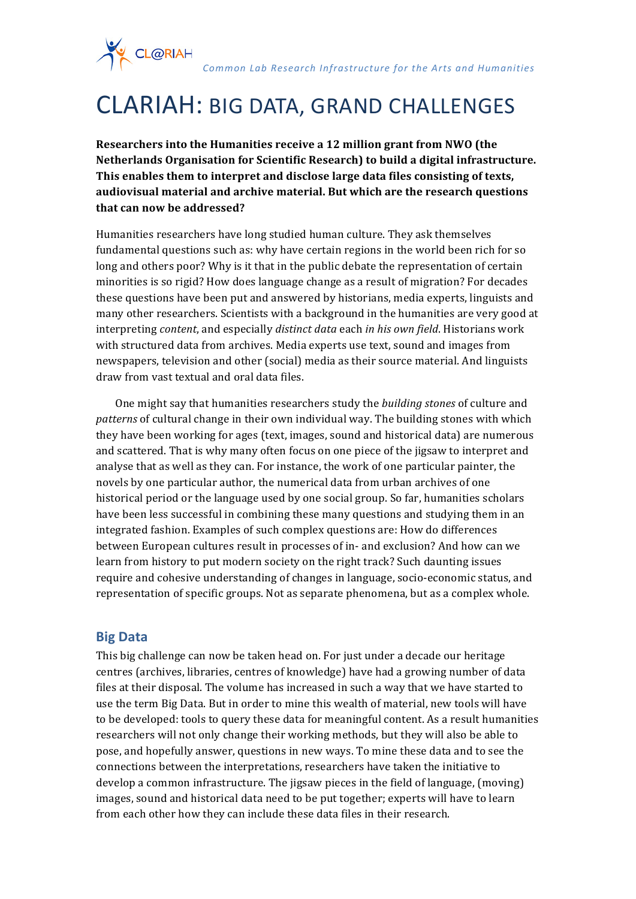*Common Lab Research Infrastructure for the Arts and Humanities*

# CLARIAH: BIG DATA, GRAND CHALLENGES

**Researchers into the Humanities receive a 12 million grant from NWO (the Netherlands Organisation for Scientific Research) to build a digital infrastructure.** This enables them to interpret and disclose large data files consisting of texts, audiovisual material and archive material. But which are the research questions **that can now be addressed?** 

Humanities researchers have long studied human culture. They ask themselves fundamental questions such as: why have certain regions in the world been rich for so long and others poor? Why is it that in the public debate the representation of certain minorities is so rigid? How does language change as a result of migration? For decades these questions have been put and answered by historians, media experts, linguists and many other researchers. Scientists with a background in the humanities are very good at interpreting *content*, and especially *distinct data* each *in his own field*. Historians work with structured data from archives. Media experts use text, sound and images from newspapers, television and other (social) media as their source material. And linguists draw from vast textual and oral data files.

One might say that humanities researchers study the *building stones* of culture and *patterns* of cultural change in their own individual way. The building stones with which they have been working for ages (text, images, sound and historical data) are numerous and scattered. That is why many often focus on one piece of the jigsaw to interpret and analyse that as well as they can. For instance, the work of one particular painter, the novels by one particular author, the numerical data from urban archives of one historical period or the language used by one social group. So far, humanities scholars have been less successful in combining these many questions and studying them in an integrated fashion. Examples of such complex questions are: How do differences between European cultures result in processes of in- and exclusion? And how can we learn from history to put modern society on the right track? Such daunting issues require and cohesive understanding of changes in language, socio-economic status, and representation of specific groups. Not as separate phenomena, but as a complex whole.

#### **Big Data**

CL@RIAH

This big challenge can now be taken head on. For just under a decade our heritage centres (archives, libraries, centres of knowledge) have had a growing number of data files at their disposal. The volume has increased in such a way that we have started to use the term Big Data. But in order to mine this wealth of material, new tools will have to be developed: tools to query these data for meaningful content. As a result humanities researchers will not only change their working methods, but they will also be able to pose, and hopefully answer, questions in new ways. To mine these data and to see the connections between the interpretations, researchers have taken the initiative to develop a common infrastructure. The jigsaw pieces in the field of language, (moving) images, sound and historical data need to be put together; experts will have to learn from each other how they can include these data files in their research.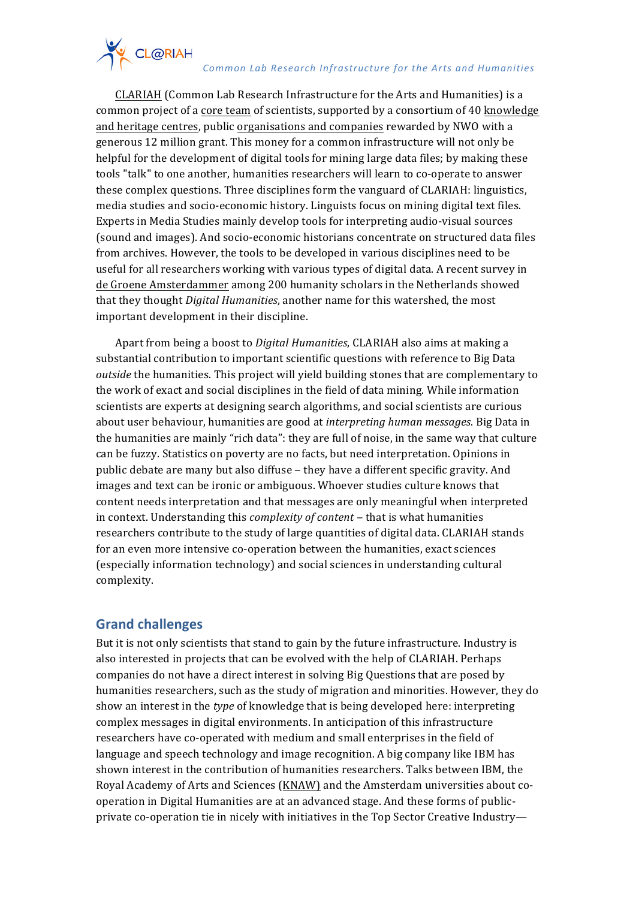# CL@RIAH *Common Lab Research Infrastructure for the Arts and Humanities*

CLARIAH (Common Lab Research Infrastructure for the Arts and Humanities) is a common project of a core team of scientists, supported by a consortium of 40 knowledge and heritage centres, public organisations and companies rewarded by NWO with a generous 12 million grant. This money for a common infrastructure will not only be helpful for the development of digital tools for mining large data files; by making these tools "talk" to one another, humanities researchers will learn to co-operate to answer these complex questions. Three disciplines form the vanguard of CLARIAH: linguistics, media studies and socio-economic history. Linguists focus on mining digital text files. Experts in Media Studies mainly develop tools for interpreting audio-visual sources (sound and images). And socio-economic historians concentrate on structured data files from archives. However, the tools to be developed in various disciplines need to be useful for all researchers working with various types of digital data. A recent survey in de Groene Amsterdammer among 200 humanity scholars in the Netherlands showed that they thought *Digital Humanities*, another name for this watershed, the most important development in their discipline.

Apart from being a boost to *Digital Humanities*, CLARIAH also aims at making a substantial contribution to important scientific questions with reference to Big Data *outside* the humanities. This project will yield building stones that are complementary to the work of exact and social disciplines in the field of data mining. While information scientists are experts at designing search algorithms, and social scientists are curious about user behaviour, humanities are good at *interpreting human messages*. Big Data in the humanities are mainly "rich data": they are full of noise, in the same way that culture can be fuzzy. Statistics on poverty are no facts, but need interpretation. Opinions in public debate are many but also diffuse – they have a different specific gravity. And images and text can be ironic or ambiguous. Whoever studies culture knows that content needs interpretation and that messages are only meaningful when interpreted in context. Understanding this *complexity of content* – that is what humanities researchers contribute to the study of large quantities of digital data. CLARIAH stands for an even more intensive co-operation between the humanities, exact sciences (especially information technology) and social sciences in understanding cultural complexity. 

### **Grand challenges**

But it is not only scientists that stand to gain by the future infrastructure. Industry is also interested in projects that can be evolved with the help of CLARIAH. Perhaps companies do not have a direct interest in solving Big Questions that are posed by humanities researchers, such as the study of migration and minorities. However, they do show an interest in the *type* of knowledge that is being developed here: interpreting complex messages in digital environments. In anticipation of this infrastructure researchers have co-operated with medium and small enterprises in the field of language and speech technology and image recognition. A big company like IBM has shown interest in the contribution of humanities researchers. Talks between IBM, the Royal Academy of Arts and Sciences (KNAW) and the Amsterdam universities about cooperation in Digital Humanities are at an advanced stage. And these forms of publicprivate co-operation tie in nicely with initiatives in the Top Sector Creative Industry-